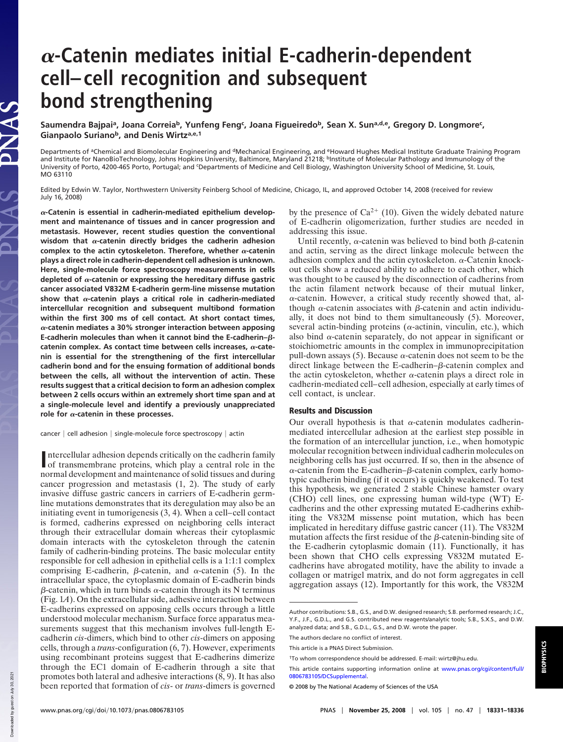## **-Catenin mediates initial E-cadherin-dependent cell–cell recognition and subsequent bond strengthening**

**Saumendra Bajpai<sup>a</sup> , Joana Correia<sup>b</sup> , Yunfeng Feng<sup>c</sup> , Joana Figueiredo<sup>b</sup> , Sean X. Suna,d,e, Gregory D. Longmore<sup>c</sup> , Gianpaolo Suriano<sup>b</sup> , and Denis Wirtza,e,1**

Departments of ªChemical and Biomolecular Engineering and <sup>d</sup>Mechanical Engineering, and <sup>e</sup>Howard Hughes Medical Institute Graduate Training Program<br>and Institute for NanoBioTechnology, Johns Hopkins University, Baltimore University of Porto, 4200-465 Porto, Portugal; and <sup>c</sup>Departments of Medicine and Cell Biology, Washington University School of Medicine, St. Louis, MO 63110

Edited by Edwin W. Taylor, Northwestern University Feinberg School of Medicine, Chicago, IL, and approved October 14, 2008 (received for review July 16, 2008)

**-Catenin is essential in cadherin-mediated epithelium development and maintenance of tissues and in cancer progression and metastasis. However, recent studies question the conventional** wisdom that  $\alpha$ -catenin directly bridges the cadherin adhesion complex to the actin cytoskeleton. Therefore, whether  $\alpha$ -catenin **plays a direct role in cadherin-dependent cell adhesion is unknown. Here, single-molecule force spectroscopy measurements in cells** depleted of  $\alpha$ -catenin or expressing the hereditary diffuse gastric **cancer associated V832M E-cadherin germ-line missense mutation** show that  $\alpha$ -catenin plays a critical role in cadherin-mediated **intercellular recognition and subsequent multibond formation within the first 300 ms of cell contact. At short contact times, -catenin mediates a 30% stronger interaction between apposing E-cadherin molecules than when it cannot bind the E-cadherin-** $\beta$ catenin complex. As contact time between cells increases,  $\alpha$ -cate**nin is essential for the strengthening of the first intercellular cadherin bond and for the ensuing formation of additional bonds between the cells, all without the intervention of actin. These results suggest that a critical decision to form an adhesion complex between 2 cells occurs within an extremely short time span and at a single-molecule level and identify a previously unappreciated** role for  $\alpha$ -catenin in these processes.

 $cancer \mid cell$  adhesion  $|$  single-molecule force spectroscopy  $|$  actin

by the presence of  $Ca^{2+}$  (10). Given the widely debated nature of E-cadherin oligomerization, further studies are needed in addressing this issue.

Until recently,  $\alpha$ -catenin was believed to bind both  $\beta$ -catenin and actin, serving as the direct linkage molecule between the adhesion complex and the actin cytoskeleton.  $\alpha$ -Catenin knockout cells show a reduced ability to adhere to each other, which was thought to be caused by the disconnection of cadherins from the actin filament network because of their mutual linker,  $\alpha$ -catenin. However, a critical study recently showed that, although  $\alpha$ -catenin associates with  $\beta$ -catenin and actin individually, it does not bind to them simultaneously (5). Moreover, several actin-binding proteins ( $\alpha$ -actinin, vinculin, etc.), which also bind  $\alpha$ -catenin separately, do not appear in significant or stoichiometric amounts in the complex in immunoprecipitation pull-down assays (5). Because  $\alpha$ -catenin does not seem to be the direct linkage between the E-cadherin– $\beta$ -catenin complex and the actin cytoskeleton, whether  $\alpha$ -catenin plays a direct role in cadherin-mediated cell–cell adhesion, especially at early times of cell contact, is unclear.

## Results and Discussion

Our overall hypothesis is that  $\alpha$ -catenin modulates cadherinmediated intercellular adhesion at the earliest step possible in the formation of an intercellular junction, i.e., when homotypic molecular recognition between individual cadherin molecules on neighboring cells has just occurred. If so, then in the absence of  $\alpha$ -catenin from the E-cadherin– $\beta$ -catenin complex, early homotypic cadherin binding (if it occurs) is quickly weakened. To test this hypothesis, we generated 2 stable Chinese hamster ovary (CHO) cell lines, one expressing human wild-type (WT) Ecadherins and the other expressing mutated E-cadherins exhibiting the V832M missense point mutation, which has been implicated in hereditary diffuse gastric cancer (11). The V832M mutation affects the first residue of the  $\beta$ -catenin-binding site of the E-cadherin cytoplasmic domain (11). Functionally, it has been shown that CHO cells expressing V832M mutated Ecadherins have abrogated motility, have the ability to invade a collagen or matrigel matrix, and do not form aggregates in cell aggregation assays (12). Importantly for this work, the V832M

LAS

Intercellular adhesion depends critically on the cadherin family<br>of transmembrane proteins, which play a central role in the ntercellular adhesion depends critically on the cadherin family normal development and maintenance of solid tissues and during cancer progression and metastasis (1, 2). The study of early invasive diffuse gastric cancers in carriers of E-cadherin germline mutations demonstrates that its deregulation may also be an initiating event in tumorigenesis (3, 4). When a cell–cell contact is formed, cadherins expressed on neighboring cells interact through their extracellular domain whereas their cytoplasmic domain interacts with the cytoskeleton through the catenin family of cadherin-binding proteins. The basic molecular entity responsible for cell adhesion in epithelial cells is a 1:1:1 complex comprising E-cadherin,  $\beta$ -catenin, and  $\alpha$ -catenin (5). In the intracellular space, the cytoplasmic domain of E-cadherin binds  $\beta$ -catenin, which in turn binds  $\alpha$ -catenin through its N terminus (Fig. 1*A*). On the extracellular side, adhesive interaction between E-cadherins expressed on apposing cells occurs through a little understood molecular mechanism. Surface force apparatus measurements suggest that this mechanism involves full-length Ecadherin *cis*-dimers, which bind to other *cis*-dimers on apposing cells, through a *trans*-configuration (6, 7). However, experiments using recombinant proteins suggest that E-cadherins dimerize through the EC1 domain of E-cadherin through a site that promotes both lateral and adhesive interactions (8, 9). It has also been reported that formation of *cis*- or *trans*-dimers is governed

Author contributions: S.B., G.S., and D.W. designed research; S.B. performed research; J.C., Y.F., J.F., G.D.L., and G.S. contributed new reagents/analytic tools; S.B., S.X.S., and D.W. analyzed data; and S.B., G.D.L., G.S., and D.W. wrote the paper.

The authors declare no conflict of interest.

This article is a PNAS Direct Submission.

<sup>1</sup>To whom correspondence should be addressed. E-mail: wirtz@jhu.edu.

This article contains supporting information online at www.pnas.org/cgi/content/full/ 0806783105/DCSupplemental.

<sup>© 2008</sup> by The National Academy of Sciences of the USA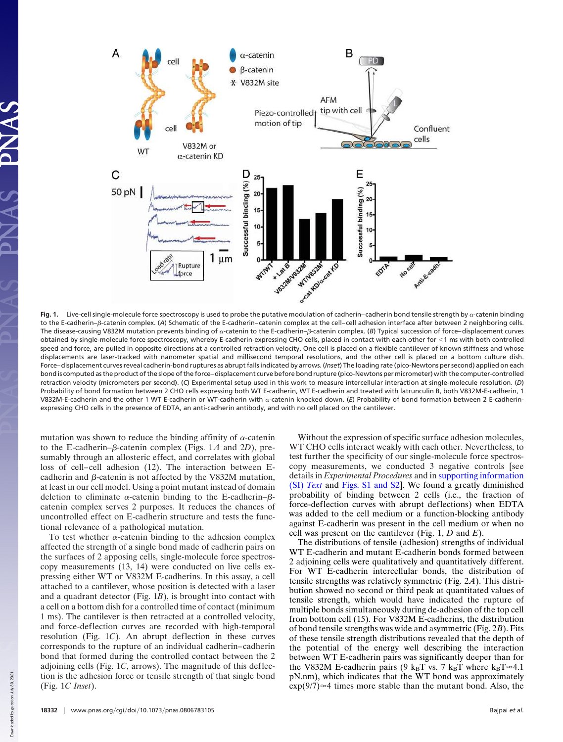

Fig. 1. Live-cell single-molecule force spectroscopy is used to probe the putative modulation of cadherin–cadherin bond tensile strength by  $\alpha$ -catenin binding to the E-cadherin– $\beta$ -catenin complex. (A) Schematic of the E-cadherin–catenin complex at the cell–cell adhesion interface after between 2 neighboring cells. The disease-causing V832M mutation prevents binding of α-catenin to the E-cadherin–β-catenin complex. (*B*) Typical succession of force–displacement curves obtained by single-molecule force spectroscopy, whereby E-cadherin-expressing CHO cells, placed in contact with each other for 1 ms with both controlled speed and force, are pulled in opposite directions at a controlled retraction velocity. One cell is placed on a flexible cantilever of known stiffness and whose displacements are laser-tracked with nanometer spatial and millisecond temporal resolutions, and the other cell is placed on a bottom culture dish. Force–displacement curves reveal cadherin-bond ruptures as abrupt falls indicated by arrows. (*Inset*) The loading rate (pico-Newtons per second) applied on each bond is computed as the product of the slope of the force–displacement curve before bond rupture (pico-Newtons per micrometer) with the computer-controlled retraction velocity (micrometers per second). (*C*) Experimental setup used in this work to measure intercellular interaction at single-molecule resolution. (*D*) Probability of bond formation between 2 CHO cells expressing both WT E-cadherin, WT E-cadherin and treated with latrunculin B, both V832M-E-cadherin, 1 V832M-E-cadherin and the other 1 WT E-cadherin or WT-cadherin with a-catenin knocked down. (E) Probability of bond formation between 2 E-cadherinexpressing CHO cells in the presence of EDTA, an anti-cadherin antibody, and with no cell placed on the cantilever.

mutation was shown to reduce the binding affinity of  $\alpha$ -catenin to the E-cadherin– $\beta$ -catenin complex (Figs. 1A and 2D), presumably through an allosteric effect, and correlates with global loss of cell–cell adhesion (12). The interaction between Ecadherin and  $\beta$ -catenin is not affected by the V832M mutation, at least in our cell model. Using a point mutant instead of domain deletion to eliminate  $\alpha$ -catenin binding to the E-cadherin- $\beta$ catenin complex serves 2 purposes. It reduces the chances of uncontrolled effect on E-cadherin structure and tests the functional relevance of a pathological mutation.

To test whether  $\alpha$ -catenin binding to the adhesion complex affected the strength of a single bond made of cadherin pairs on the surfaces of 2 apposing cells, single-molecule force spectroscopy measurements (13, 14) were conducted on live cells expressing either WT or V832M E-cadherins. In this assay, a cell attached to a cantilever, whose position is detected with a laser and a quadrant detector (Fig.  $1B$ ), is brought into contact with a cell on a bottom dish for a controlled time of contact (minimum 1 ms). The cantilever is then retracted at a controlled velocity, and force-deflection curves are recorded with high-temporal resolution (Fig. 1*C*). An abrupt deflection in these curves corresponds to the rupture of an individual cadherin–cadherin bond that formed during the controlled contact between the 2 adjoining cells (Fig. 1*C*, arrows). The magnitude of this deflection is the adhesion force or tensile strength of that single bond (Fig. 1*C Inset*).

Without the expression of specific surface adhesion molecules, WT CHO cells interact weakly with each other. Nevertheless, to test further the specificity of our single-molecule force spectroscopy measurements, we conducted 3 negative controls [see details in *Experimental Procedures* and in supporting information (SI) *Text* and Figs. S1 and S2]. We found a greatly diminished probability of binding between 2 cells (i.e., the fraction of force-deflection curves with abrupt deflections) when EDTA was added to the cell medium or a function-blocking antibody against E-cadherin was present in the cell medium or when no cell was present on the cantilever (Fig. 1, *D* and *E*).

The distributions of tensile (adhesion) strengths of individual WT E-cadherin and mutant E-cadherin bonds formed between 2 adjoining cells were qualitatively and quantitatively different. For WT E-cadherin intercellular bonds, the distribution of tensile strengths was relatively symmetric (Fig. 2*A*). This distribution showed no second or third peak at quantitated values of tensile strength, which would have indicated the rupture of multiple bonds simultaneously during de-adhesion of the top cell from bottom cell (15). For V832M E-cadherins, the distribution of bond tensile strengths was wide and asymmetric (Fig. 2*B*). Fits of these tensile strength distributions revealed that the depth of the potential of the energy well describing the interaction between WT E-cadherin pairs was significantly deeper than for the V832M E-cadherin pairs (9  $k_B T$  vs. 7  $k_B T$  where  $k_B T \approx 4.1$ pN.nm), which indicates that the WT bond was approximately  $\exp(9/7) \approx 4$  times more stable than the mutant bond. Also, the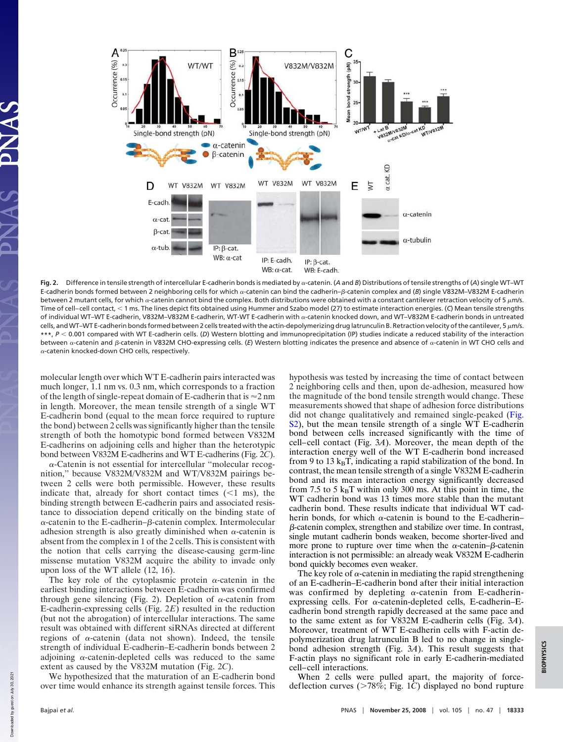

**Fig. 2.** Difference in tensile strength of intercellular E-cadherin bonds is mediated by  $\alpha$ -catenin. (*A* and *B*) Distributions of tensile strengths of (*A*) single WT–WT E-cadherin bonds formed between 2 neighboring cells for which α-catenin can bind the cadherin–β-catenin complex and (*B*) single V832M–V832M E-cadherin between 2 mutant cells, for which  $\alpha$ -catenin cannot bind the complex. Both distributions were obtained with a constant cantilever retraction velocity of 5  $\mu$ m/s. Time of cell–cell contact, 1 ms. The lines depict fits obtained using Hummer and Szabo model (27) to estimate interaction energies. (*C*) Mean tensile strengths of individual WT–WT E-cadherin, V832M–V832M E-cadherin, WT-WT E-cadherin with  $\alpha$ -catenin knocked down, and WT–V832M E-cadherin bonds in untreated cells, and WT-WT E-cadherin bonds formed between 2 cells treated with the actin-depolymerizing drug latrunculin B. Retraction velocity of the cantilever, 5  $\mu$ m/s. **\*\*\***, *<sup>P</sup>* 0.001 compared with WT E-cadherin cells. (*D*) Western blotting and immunoprecipitation (IP) studies indicate a reduced stability of the interaction between α-catenin and β-catenin in V832M CHO-expressing cells. (E) Western blotting indicates the presence and absence of α-catenin in WT CHO cells and  $\alpha$ -catenin knocked-down CHO cells, respectively.

molecular length over which WT E-cadherin pairs interacted was much longer, 1.1 nm vs. 0.3 nm, which corresponds to a fraction of the length of single-repeat domain of E-cadherin that is  $\approx$  2 nm in length. Moreover, the mean tensile strength of a single WT E-cadherin bond (equal to the mean force required to rupture the bond) between 2 cells was significantly higher than the tensile strength of both the homotypic bond formed between V832M E-cadherins on adjoining cells and higher than the heterotypic bond between V832M E-cadherins and WT E-cadherins (Fig. 2*C*).

--Catenin is not essential for intercellular ''molecular recognition,'' because V832M/V832M and WT/V832M pairings between 2 cells were both permissible. However, these results indicate that, already for short contact times  $\ll 1$  ms), the binding strength between E-cadherin pairs and associated resistance to dissociation depend critically on the binding state of  $\alpha$ -catenin to the E-cadherin– $\beta$ -catenin complex. Intermolecular adhesion strength is also greatly diminished when  $\alpha$ -catenin is absent from the complex in 1 of the 2 cells. This is consistent with the notion that cells carrying the disease-causing germ-line missense mutation V832M acquire the ability to invade only upon loss of the WT allele (12, 16).

The key role of the cytoplasmic protein  $\alpha$ -catenin in the earliest binding interactions between E-cadherin was confirmed through gene silencing (Fig. 2). Depletion of  $\alpha$ -catenin from E-cadherin-expressing cells (Fig. 2*E*) resulted in the reduction (but not the abrogation) of intercellular interactions. The same result was obtained with different siRNAs directed at different regions of  $\alpha$ -catenin (data not shown). Indeed, the tensile strength of individual E-cadherin–E-cadherin bonds between 2 adjoining  $\alpha$ -catenin-depleted cells was reduced to the same extent as caused by the V832M mutation (Fig. 2*C*).

We hypothesized that the maturation of an E-cadherin bond over time would enhance its strength against tensile forces. This hypothesis was tested by increasing the time of contact between 2 neighboring cells and then, upon de-adhesion, measured how the magnitude of the bond tensile strength would change. These measurements showed that shape of adhesion force distributions did not change qualitatively and remained single-peaked (Fig. S2), but the mean tensile strength of a single WT E-cadherin bond between cells increased significantly with the time of cell–cell contact (Fig. 3*A*). Moreover, the mean depth of the interaction energy well of the WT E-cadherin bond increased from 9 to 13  $k_BT$ , indicating a rapid stabilization of the bond. In contrast, the mean tensile strength of a single V832M E-cadherin bond and its mean interaction energy significantly decreased from 7.5 to 5  $k_BT$  within only 300 ms. At this point in time, the WT cadherin bond was 13 times more stable than the mutant cadherin bond. These results indicate that individual WT cadherin bonds, for which  $\alpha$ -catenin is bound to the E-cadherin–  $\beta$ -catenin complex, strengthen and stabilize over time. In contrast, single mutant cadherin bonds weaken, become shorter-lived and more prone to rupture over time when the  $\alpha$ -catenin- $\beta$ -catenin interaction is not permissible: an already weak V832M E-cadherin bond quickly becomes even weaker.

The key role of  $\alpha$ -catenin in mediating the rapid strengthening of an E-cadherin–E-cadherin bond after their initial interaction was confirmed by depleting  $\alpha$ -catenin from E-cadherinexpressing cells. For  $\alpha$ -catenin-depleted cells, E-cadherin–Ecadherin bond strength rapidly decreased at the same pace and to the same extent as for V832M E-cadherin cells (Fig. 3*A*). Moreover, treatment of WT E-cadherin cells with F-actin depolymerization drug latrunculin B led to no change in singlebond adhesion strength (Fig. 3*A*). This result suggests that F-actin plays no significant role in early E-cadherin-mediated cell–cell interactions.

When 2 cells were pulled apart, the majority of forcedeflection curves ( $>78\%$ ; Fig. 1*C*) displayed no bond rupture

Downloaded by guest on July 30, 2021

Down

hoaded by guest on July 30, 2021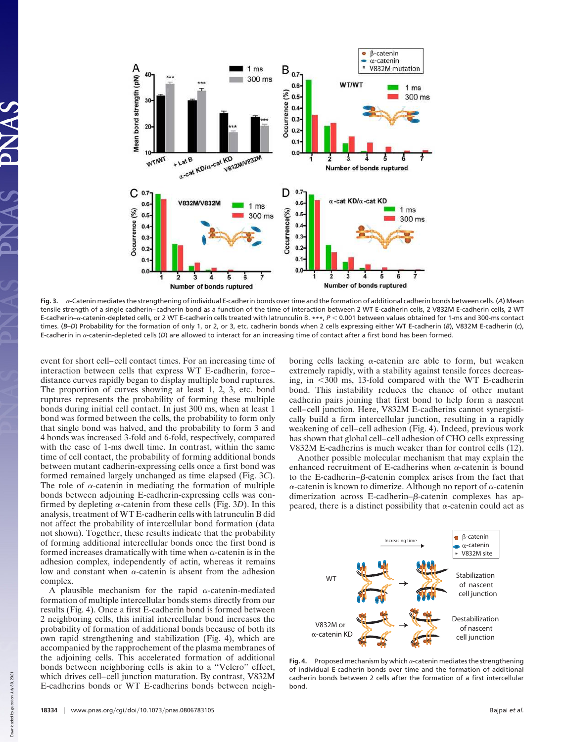

**Fig. 3.** --Catenin mediates the strengthening of individual E-cadherin bonds over time and the formation of additional cadherin bonds between cells. (*A*) Mean tensile strength of a single cadherin–cadherin bond as a function of the time of interaction between 2 WT E-cadherin cells, 2 V832M E-cadherin cells, 2 WT E-cadherin-a-catenin-depleted cells, or 2 WT E-cadherin cells treated with latrunculin B. \*\*\*,  $P < 0.001$  between values obtained for 1-ms and 300-ms contact times. (*B–D*) Probability for the formation of only 1, or 2, or 3, etc. cadherin bonds when 2 cells expressing either WT E-cadherin (*B*), V832M E-cadherin (c), E-cadherin in  $\alpha$ -catenin-depleted cells (D) are allowed to interact for an increasing time of contact after a first bond has been formed.

event for short cell–cell contact times. For an increasing time of interaction between cells that express WT E-cadherin, force– distance curves rapidly began to display multiple bond ruptures. The proportion of curves showing at least 1, 2, 3, etc. bond ruptures represents the probability of forming these multiple bonds during initial cell contact. In just 300 ms, when at least 1 bond was formed between the cells, the probability to form only that single bond was halved, and the probability to form 3 and 4 bonds was increased 3-fold and 6-fold, respectively, compared with the case of 1-ms dwell time. In contrast, within the same time of cell contact, the probability of forming additional bonds between mutant cadherin-expressing cells once a first bond was formed remained largely unchanged as time elapsed (Fig. 3*C*). The role of  $\alpha$ -catenin in mediating the formation of multiple bonds between adjoining E-cadherin-expressing cells was confirmed by depleting  $\alpha$ -catenin from these cells (Fig. 3D). In this analysis, treatment of WT E-cadherin cells with latrunculin B did not affect the probability of intercellular bond formation (data not shown). Together, these results indicate that the probability of forming additional intercellular bonds once the first bond is formed increases dramatically with time when  $\alpha$ -catenin is in the adhesion complex, independently of actin, whereas it remains low and constant when  $\alpha$ -catenin is absent from the adhesion complex.

A plausible mechanism for the rapid  $\alpha$ -catenin-mediated formation of multiple intercellular bonds stems directly from our results (Fig. 4). Once a first E-cadherin bond is formed between 2 neighboring cells, this initial intercellular bond increases the probability of formation of additional bonds because of both its own rapid strengthening and stabilization (Fig. 4), which are accompanied by the rapprochement of the plasma membranes of the adjoining cells. This accelerated formation of additional bonds between neighboring cells is akin to a ''Velcro'' effect, which drives cell–cell junction maturation. By contrast, V832M E-cadherins bonds or WT E-cadherins bonds between neigh-

boring cells lacking  $\alpha$ -catenin are able to form, but weaken extremely rapidly, with a stability against tensile forces decreasing, in  $<300$  ms, 13-fold compared with the WT E-cadherin bond. This instability reduces the chance of other mutant cadherin pairs joining that first bond to help form a nascent cell–cell junction. Here, V832M E-cadherins cannot synergistically build a firm intercellular junction, resulting in a rapidly weakening of cell–cell adhesion (Fig. 4). Indeed, previous work has shown that global cell–cell adhesion of CHO cells expressing V832M E-cadherins is much weaker than for control cells (12).

Another possible molecular mechanism that may explain the enhanced recruitment of E-cadherins when  $\alpha$ -catenin is bound to the E-cadherin– $\beta$ -catenin complex arises from the fact that  $\alpha$ -catenin is known to dimerize. Although no report of  $\alpha$ -catenin dimerization across E-cadherin– $\beta$ -catenin complexes has appeared, there is a distinct possibility that  $\alpha$ -catenin could act as



**Fig. 4.** Proposed mechanism by which  $\alpha$ -catenin mediates the strengthening of individual E-cadherin bonds over time and the formation of additional cadherin bonds between 2 cells after the formation of a first intercellular bond.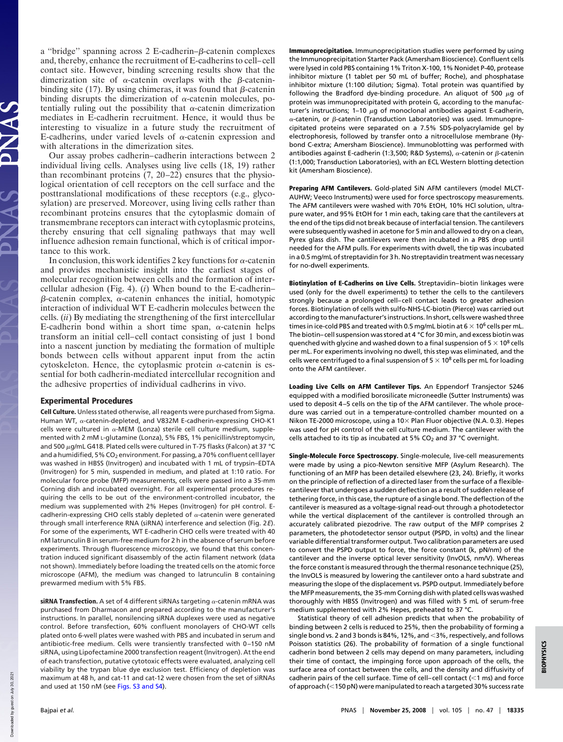a "bridge" spanning across  $2$  E-cadherin– $\beta$ -catenin complexes and, thereby, enhance the recruitment of E-cadherins to cell–cell contact site. However, binding screening results show that the dimerization site of  $\alpha$ -catenin overlaps with the  $\beta$ -cateninbinding site (17). By using chimeras, it was found that  $\beta$ -catenin binding disrupts the dimerization of  $\alpha$ -catenin molecules, potentially ruling out the possibility that  $\alpha$ -catenin dimerization mediates in E-cadherin recruitment. Hence, it would thus be interesting to visualize in a future study the recruitment of E-cadherins, under varied levels of  $\alpha$ -catenin expression and with alterations in the dimerization sites.

Our assay probes cadherin–cadherin interactions between 2 individual living cells. Analyses using live cells (18, 19) rather than recombinant proteins (7, 20–22) ensures that the physiological orientation of cell receptors on the cell surface and the posttranslational modifications of these receptors (e.g., glycosylation) are preserved. Moreover, using living cells rather than recombinant proteins ensures that the cytoplasmic domain of transmembrane receptors can interact with cytoplasmic proteins, thereby ensuring that cell signaling pathways that may well influence adhesion remain functional, which is of critical importance to this work.

In conclusion, this work identifies 2 key functions for  $\alpha$ -catenin and provides mechanistic insight into the earliest stages of molecular recognition between cells and the formation of intercellular adhesion (Fig. 4). (*i*) When bound to the E-cadherin–  $\beta$ -catenin complex,  $\alpha$ -catenin enhances the initial, homotypic interaction of individual WT E-cadherin molecules between the cells. (*ii*) By mediating the strengthening of the first intercellular E-cadherin bond within a short time span,  $\alpha$ -catenin helps transform an initial cell–cell contact consisting of just 1 bond into a nascent junction by mediating the formation of multiple bonds between cells without apparent input from the actin cytoskeleton. Hence, the cytoplasmic protein  $\alpha$ -catenin is essential for both cadherin-mediated intercellular recognition and the adhesive properties of individual cadherins in vivo.

## Experimental Procedures

Cell Culture. Unless stated otherwise, all reagents were purchased from Sigma. Human WT,  $\alpha$ -catenin-depleted, and V832M E-cadherin-expressing CHO-K1 cells were cultured in  $\alpha$ -MEM (Lonza) sterile cell culture medium, supplemented with 2 mM L-glutamine (Lonza), 5% FBS, 1% penicillin/streptomycin, and 500  $\mu$ g/mL G418. Plated cells were cultured in T-75 flasks (Falcon) at 37 °C and a humidified, 5% CO<sub>2</sub> environment. For passing, a 70% confluent cell layer was washed in HBSS (Invitrogen) and incubated with 1 mL of trypsin–EDTA (Invitrogen) for 5 min, suspended in medium, and plated at 1:10 ratio. For molecular force probe (MFP) measurements, cells were passed into a 35-mm Corning dish and incubated overnight. For all experimental procedures requiring the cells to be out of the environment-controlled incubator, the medium was supplemented with 2% Hepes (Invitrogen) for pH control. Ecadherin-expressing CHO cells stably depleted of  $\alpha$ -catenin were generated through small interference RNA (siRNA) interference and selection (Fig. 2*E*). For some of the experiments, WT E-cadherin CHO cells were treated with 40 nM latrunculin B in serum-free medium for 2 h in the absence of serum before experiments. Through fluorescence microscopy, we found that this concentration induced significant disassembly of the actin filament network (data not shown). Immediately before loading the treated cells on the atomic force microscope (AFM), the medium was changed to latrunculin B containing prewarmed medium with 5% FBS.

 $\bold{s}$ iRNA Transfection. A set of 4 different siRNAs targeting  $\alpha$ -catenin mRNA was purchased from Dharmacon and prepared according to the manufacturer's instructions. In parallel, nonsilencing siRNA duplexes were used as negative control. Before transfection, 60% confluent monolayers of CHO-WT cells plated onto 6-well plates were washed with PBS and incubated in serum and antibiotic-free medium. Cells were transiently transfected with 0–150 nM siRNA, using Lipofectamine 2000 transfection reagent (Invitrogen). At the end of each transfection, putative cytotoxic effects were evaluated, analyzing cell viability by the trypan blue dye exclusion test. Efficiency of depletion was maximum at 48 h, and cat-11 and cat-12 were chosen from the set of siRNAs and used at 150 nM (see Figs. S3 and S4).

Immunoprecipitation. Immunoprecipitation studies were performed by using the Immunoprecipitation Starter Pack (Amersham Bioscience). Confluent cells were lysed in cold PBS containing 1% Triton X-100, 1% Nonidet P-40, protease inhibitor mixture (1 tablet per 50 mL of buffer; Roche), and phosphatase inhibitor mixture (1:100 dilution; Sigma). Total protein was quantified by following the Bradford dye-binding procedure. An aliquot of 500  $\mu$ g of protein was immunoprecipitated with protein G, according to the manufacturer's instructions; 1-10  $\mu$ g of monoclonal antibodies against E-cadherin,  $\alpha$ -catenin, or  $\beta$ -catenin (Transduction Laboratories) was used. Immunoprecipitated proteins were separated on a 7.5% SDS-polyacrylamide gel by electrophoresis, followed by transfer onto a nitrocellulose membrane (Hybond C-extra; Amersham Bioscience). Immunoblotting was performed with antibodies against E-cadherin (1:3,500; R&D Systems),  $\alpha$ -catenin or  $\beta$ -catenin (1:1,000; Transduction Laboratories), with an ECL Western blotting detection kit (Amersham Bioscience).

Preparing AFM Cantilevers. Gold-plated SiN AFM cantilevers (model MLCT-AUHW; Veeco Instruments) were used for force spectroscopy measurements. The AFM cantilevers were washed with 70% EtOH, 10% HCl solution, ultrapure water, and 95% EtOH for 1 min each, taking care that the cantilevers at the end of the tips did not break because of interfacial tension. The cantilevers were subsequently washed in acetone for 5 min and allowed to dry on a clean, Pyrex glass dish. The cantilevers were then incubated in a PBS drop until needed for the AFM pulls. For experiments with dwell, the tip was incubated in a 0.5 mg/mL of streptavidin for 3 h. No streptavidin treatment was necessary for no-dwell experiments.

Biotinylation of E-Cadherins on Live Cells. Streptavidin–biotin linkages were used (only for the dwell experiments) to tether the cells to the cantilevers strongly because a prolonged cell–cell contact leads to greater adhesion forces. Biotinylation of cells with sulfo-NHS-LC-biotin (Pierce) was carried out according to the manufacturer's instructions. In short, cells were washed three times in ice-cold PBS and treated with 0.5 mg/mL biotin at  $6 \times 10^6$  cells per mL. The biotin–cell suspension was stored at 4 °C for 30 min, and excess biotin was quenched with glycine and washed down to a final suspension of  $5 \times 10^8$  cells per mL. For experiments involving no dwell, this step was eliminated, and the cells were centrifuged to a final suspension of  $5 \times 10^8$  cells per mL for loading onto the AFM cantilever.

Loading Live Cells on AFM Cantilever Tips. An Eppendorf Transjector 5246 equipped with a modified borosilicate microneedle (Sutter Instruments) was used to deposit 4–5 cells on the tip of the AFM cantilever. The whole procedure was carried out in a temperature-controlled chamber mounted on a Nikon TE-2000 microscope, using a 10 $\times$  Plan Fluor objective (N.A. 0.3). Hepes was used for pH control of the cell culture medium. The cantilever with the cells attached to its tip as incubated at 5%  $CO<sub>2</sub>$  and 37 °C overnight.

Single-Molecule Force Spectroscopy. Single-molecule, live-cell measurements were made by using a pico-Newton sensitive MFP (Asylum Research). The functioning of an MFP has been detailed elsewhere (23, 24). Briefly, it works on the principle of reflection of a directed laser from the surface of a flexiblecantilever that undergoes a sudden deflection as a result of sudden release of tethering force, in this case, the rupture of a single bond. The deflection of the cantilever is measured as a voltage-signal read-out through a photodetector while the vertical displacement of the cantilever is controlled through an accurately calibrated piezodrive. The raw output of the MFP comprises 2 parameters, the photodetector sensor output (PSPD, in volts) and the linear variable differential transformer output. Two calibration parameters are used to convert the PSPD output to force, the force constant (k, pN/nm) of the cantilever and the inverse optical lever sensitivity (InvOLS, nm/V). Whereas the force constant is measured through the thermal resonance technique (25), the InvOLS is measured by lowering the cantilever onto a hard substrate and measuring the slope of the displacement vs. PSPD output. Immediately before the MFP measurements, the 35-mm Corning dish with plated cells was washed thoroughly with HBSS (Invitrogen) and was filled with 5 mL of serum-free medium supplemented with 2% Hepes, preheated to 37 °C.

Statistical theory of cell adhesion predicts that when the probability of binding between 2 cells is reduced to 25%, then the probability of forming a single bond vs. 2 and 3 bonds is 84%, 12%, and  $<$  3%, respectively, and follows Poisson statistics (26). The probability of formation of a single functional cadherin bond between 2 cells may depend on many parameters, including their time of contact, the impinging force upon approach of the cells, the surface area of contact between the cells, and the density and diffusivity of cadherin pairs of the cell surface. Time of cell–cell contact  $(<$ 1 ms) and force of approach (<150 pN) were manipulated to reach a targeted 30% success rate